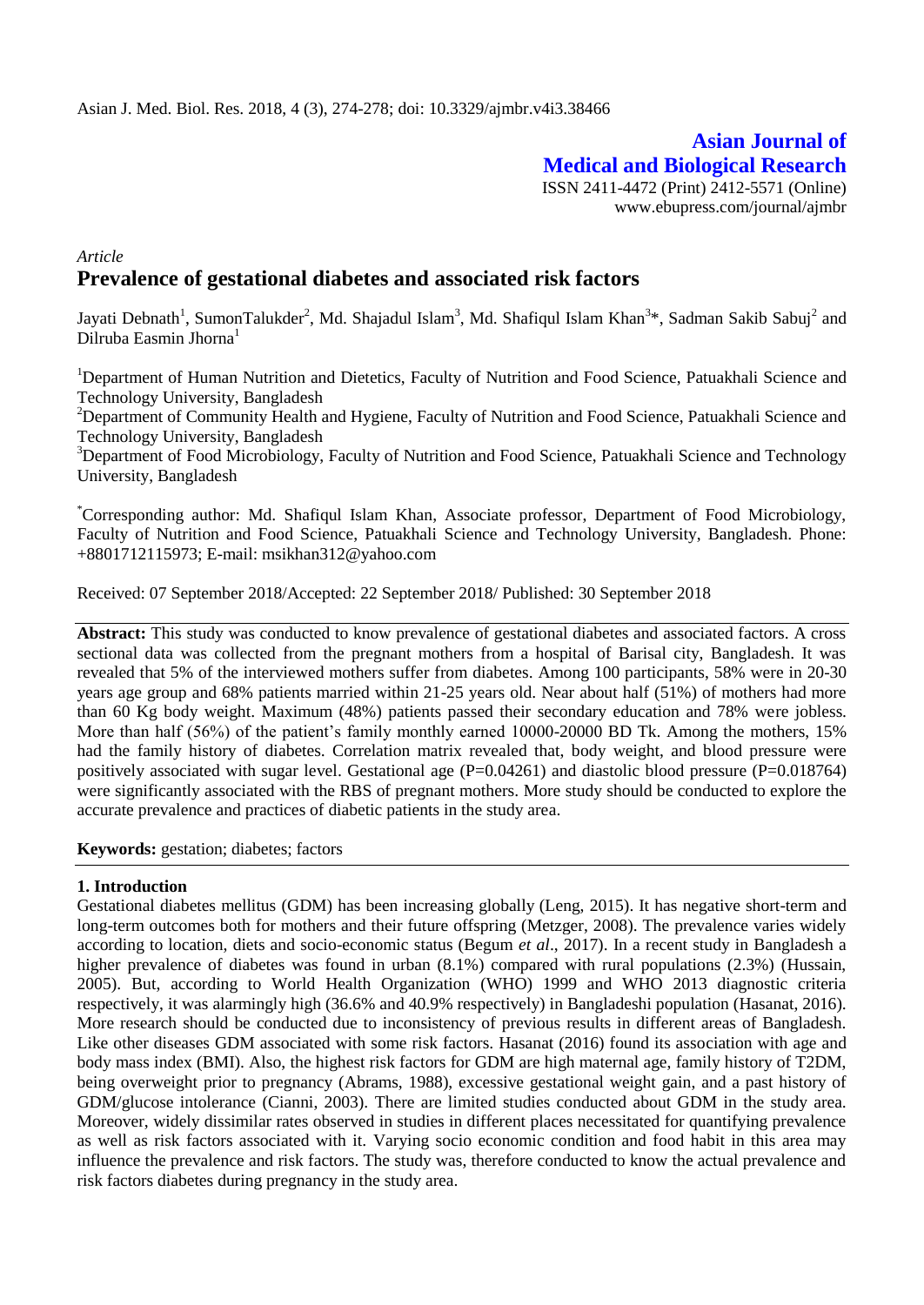# **Asian Journal of Medical and Biological Research** ISSN 2411-4472 (Print) 2412-5571 (Online)

www.ebupress.com/journal/ajmbr

# *Article* **Prevalence of gestational diabetes and associated risk factors**

Jayati Debnath<sup>1</sup>, SumonTalukder<sup>2</sup>, Md. Shajadul Islam<sup>3</sup>, Md. Shafiqul Islam Khan<sup>3\*</sup>, Sadman Sakib Sabuj<sup>2</sup> and Dilruba Easmin Jhorna<sup>1</sup>

<sup>1</sup>Department of Human Nutrition and Dietetics, Faculty of Nutrition and Food Science, Patuakhali Science and Technology University, Bangladesh

<sup>2</sup>Department of Community Health and Hygiene, Faculty of Nutrition and Food Science, Patuakhali Science and Technology University, Bangladesh

<sup>3</sup>Department of Food Microbiology, Faculty of Nutrition and Food Science, Patuakhali Science and Technology University, Bangladesh

\*Corresponding author: Md. Shafiqul Islam Khan, Associate professor, Department of Food Microbiology, Faculty of Nutrition and Food Science, Patuakhali Science and Technology University, Bangladesh. Phone: +8801712115973; E-mail: [msikhan312@yahoo.com](mailto:msikhan312@yahoo.com)

Received: 07 September 2018/Accepted: 22 September 2018/ Published: 30 September 2018

**Abstract:** This study was conducted to know prevalence of gestational diabetes and associated factors. A cross sectional data was collected from the pregnant mothers from a hospital of Barisal city, Bangladesh. It was revealed that 5% of the interviewed mothers suffer from diabetes. Among 100 participants, 58% were in 20-30 years age group and 68% patients married within 21-25 years old. Near about half (51%) of mothers had more than 60 Kg body weight. Maximum (48%) patients passed their secondary education and 78% were jobless. More than half (56%) of the patient's family monthly earned 10000-20000 BD Tk. Among the mothers, 15% had the family history of diabetes. Correlation matrix revealed that, body weight, and blood pressure were positively associated with sugar level. Gestational age (P=0.04261) and diastolic blood pressure (P=0.018764) were significantly associated with the RBS of pregnant mothers. More study should be conducted to explore the accurate prevalence and practices of diabetic patients in the study area.

**Keywords:** gestation; diabetes; factors

#### **1. Introduction**

Gestational diabetes mellitus (GDM) has been increasing globally (Leng, 2015). It has negative short-term and long-term outcomes both for mothers and their future offspring (Metzger, 2008). The prevalence varies widely according to location, diets and socio-economic status (Begum *et al*., 2017). In a recent study in Bangladesh a higher prevalence of diabetes was found in urban  $(8.1\%)$  compared with rural populations  $(2.3\%)$  (Hussain, 2005). But, according to World Health Organization (WHO) 1999 and WHO 2013 diagnostic criteria respectively, it was alarmingly high (36.6% and 40.9% respectively) in Bangladeshi population (Hasanat, 2016). More research should be conducted due to inconsistency of previous results in different areas of Bangladesh. Like other diseases GDM associated with some risk factors. Hasanat (2016) found its association with age and body mass index (BMI). Also, the highest risk factors for GDM are high maternal age, family history of T2DM, being overweight prior to pregnancy (Abrams, 1988), excessive gestational weight gain, and a past history of GDM/glucose intolerance (Cianni, 2003). There are limited studies conducted about GDM in the study area. Moreover, widely dissimilar rates observed in studies in different places necessitated for quantifying prevalence as well as risk factors associated with it. Varying socio economic condition and food habit in this area may influence the prevalence and risk factors. The study was, therefore conducted to know the actual prevalence and risk factors diabetes during pregnancy in the study area.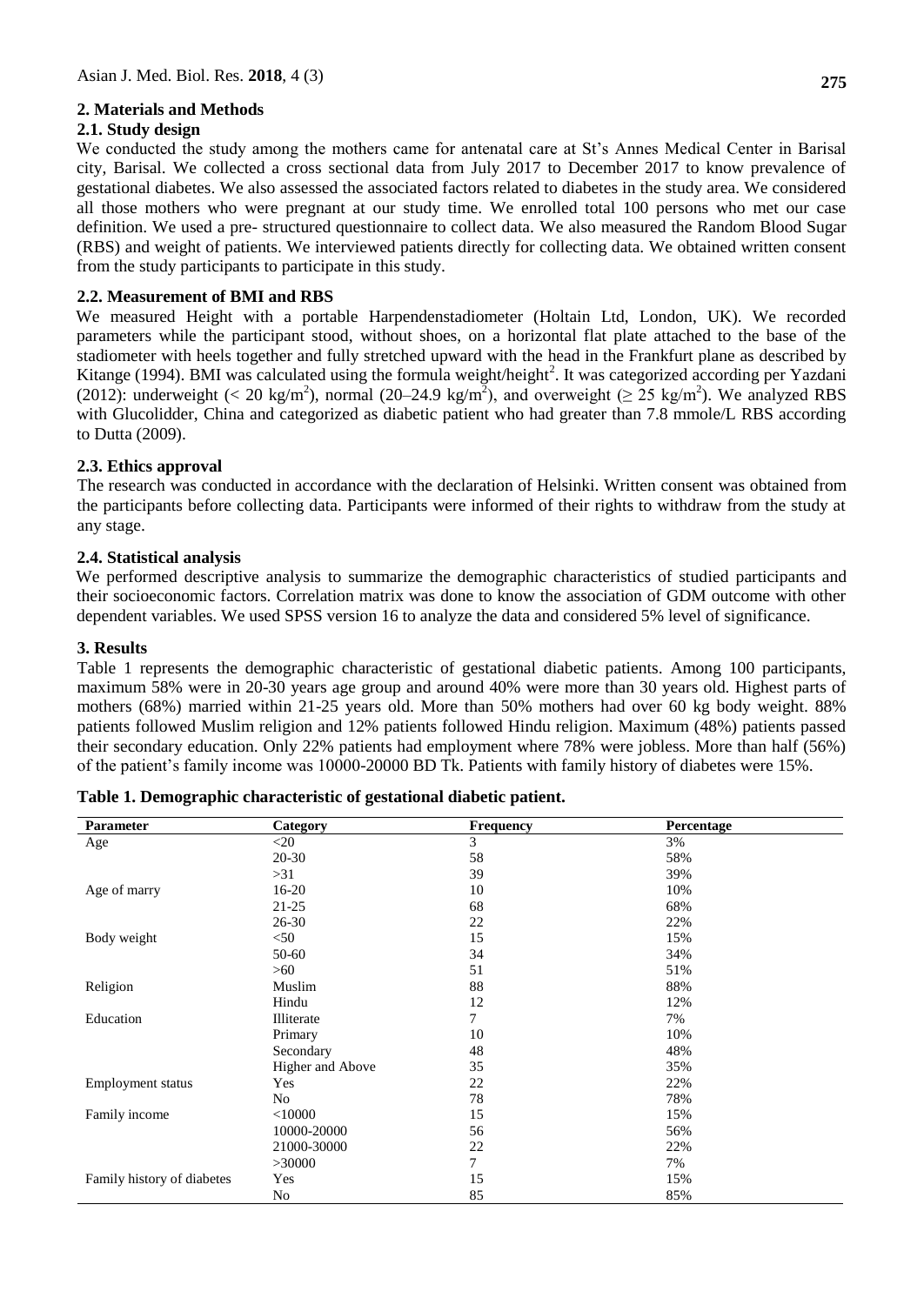## **2. Materials and Methods**

#### **2.1. Study design**

We conducted the study among the mothers came for antenatal care at St's Annes Medical Center in Barisal city, Barisal. We collected a cross sectional data from July 2017 to December 2017 to know prevalence of gestational diabetes. We also assessed the associated factors related to diabetes in the study area. We considered all those mothers who were pregnant at our study time. We enrolled total 100 persons who met our case definition. We used a pre- structured questionnaire to collect data. We also measured the Random Blood Sugar (RBS) and weight of patients. We interviewed patients directly for collecting data. We obtained written consent from the study participants to participate in this study.

## **2.2. Measurement of BMI and RBS**

We measured Height with a portable Harpendenstadiometer (Holtain Ltd, London, UK). We recorded parameters while the participant stood, without shoes, on a horizontal flat plate attached to the base of the stadiometer with heels together and fully stretched upward with the head in the Frankfurt plane as described by Kitange (1994). BMI was calculated using the formula weight/height<sup>2</sup>. It was categorized according per Yazdani (2012): underweight (< 20 kg/m<sup>2</sup>), normal (20–24.9 kg/m<sup>2</sup>), and overweight ( $\geq$  25 kg/m<sup>2</sup>). We analyzed RBS with Glucolidder, China and categorized as diabetic patient who had greater than 7.8 mmole/L RBS according to Dutta (2009).

## **2.3. Ethics approval**

The research was conducted in accordance with the declaration of Helsinki. Written consent was obtained from the participants before collecting data. Participants were informed of their rights to withdraw from the study at any stage.

## **2.4. Statistical analysis**

We performed descriptive analysis to summarize the demographic characteristics of studied participants and their socioeconomic factors. Correlation matrix was done to know the association of GDM outcome with other dependent variables. We used SPSS version 16 to analyze the data and considered 5% level of significance.

#### **3. Results**

Table 1 represents the demographic characteristic of gestational diabetic patients. Among 100 participants, maximum 58% were in 20-30 years age group and around 40% were more than 30 years old. Highest parts of mothers (68%) married within 21-25 years old. More than 50% mothers had over 60 kg body weight. 88% patients followed Muslim religion and 12% patients followed Hindu religion. Maximum (48%) patients passed their secondary education. Only 22% patients had employment where 78% were jobless. More than half (56%) of the patient's family income was 10000-20000 BD Tk. Patients with family history of diabetes were 15%.

| Parameter                  | Category         | <b>Frequency</b> | Percentage |
|----------------------------|------------------|------------------|------------|
| Age                        | $<$ 20           | 3                | 3%         |
|                            | $20 - 30$        | 58               | 58%        |
|                            | >31              | 39               | 39%        |
| Age of marry               | $16 - 20$        | 10               | 10%        |
|                            | $21 - 25$        | 68               | 68%        |
|                            | $26 - 30$        | 22               | 22%        |
| Body weight                | $<$ 50           | 15               | 15%        |
|                            | 50-60            | 34               | 34%        |
|                            | >60              | 51               | 51%        |
| Religion                   | Muslim           | 88               | 88%        |
|                            | Hindu            | 12               | 12%        |
| Education                  | Illiterate       | 7                | 7%         |
|                            | Primary          | 10               | 10%        |
|                            | Secondary        | 48               | 48%        |
|                            | Higher and Above | 35               | 35%        |
| Employment status          | Yes              | 22               | 22%        |
|                            | No               | 78               | 78%        |
| Family income              | $<$ 10000        | 15               | 15%        |
|                            | 10000-20000      | 56               | 56%        |
|                            | 21000-30000      | 22               | 22%        |
|                            | >30000           | 7                | 7%         |
| Family history of diabetes | Yes              | 15               | 15%        |
|                            | No               | 85               | 85%        |

| Table 1. Demographic characteristic of gestational diabetic patient. |  |  |
|----------------------------------------------------------------------|--|--|
|----------------------------------------------------------------------|--|--|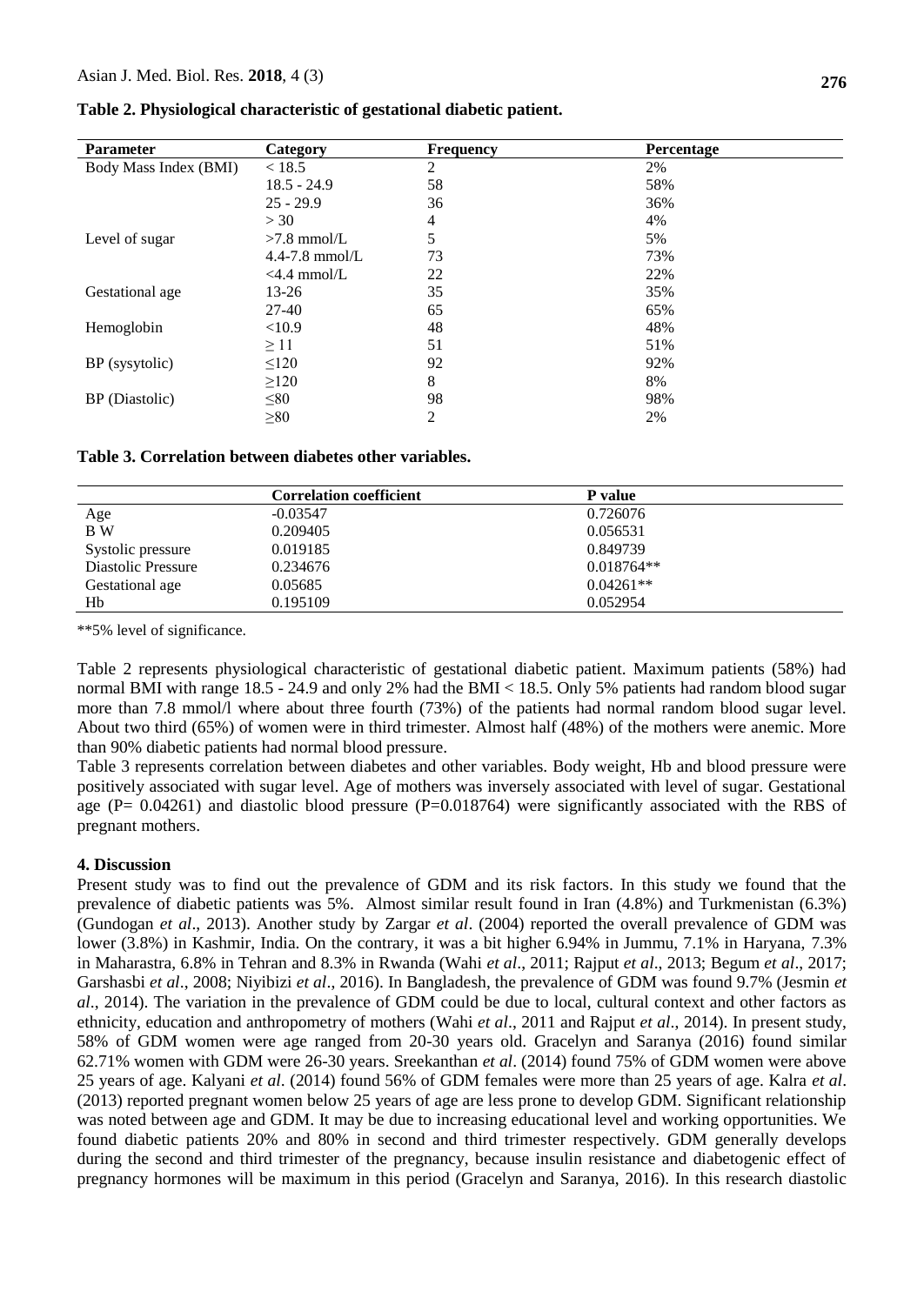| <b>Parameter</b>      | Category       | <b>Frequency</b> | Percentage |
|-----------------------|----------------|------------------|------------|
| Body Mass Index (BMI) | < 18.5         | 2                | 2%         |
|                       | $18.5 - 24.9$  | 58               | 58%        |
|                       | $25 - 29.9$    | 36               | 36%        |
|                       | >30            | 4                | 4%         |
| Level of sugar        | $>7.8$ mmol/L  | 5                | 5%         |
|                       | 4.4-7.8 mmol/L | 73               | 73%        |
|                       | $<$ 4.4 mmol/L | 22               | 22%        |
| Gestational age       | 13-26          | 35               | 35%        |
|                       | 27-40          | 65               | 65%        |
| Hemoglobin            | <10.9          | 48               | 48%        |
|                       | $\geq$ 11      | 51               | 51%        |
| BP (sysytolic)        | $\leq 120$     | 92               | 92%        |
|                       | $\geq$ 120     | 8                | 8%         |
| BP (Diastolic)        | $\leq 80$      | 98               | 98%        |
|                       | $\geq 80$      | 2                | 2%         |

**Table 2. Physiological characteristic of gestational diabetic patient.**

**Table 3. Correlation between diabetes other variables.**

|                    | <b>Correlation coefficient</b> | P value      |  |
|--------------------|--------------------------------|--------------|--|
| Age                | $-0.03547$                     | 0.726076     |  |
| B W                | 0.209405                       | 0.056531     |  |
| Systolic pressure  | 0.019185                       | 0.849739     |  |
| Diastolic Pressure | 0.234676                       | $0.018764**$ |  |
| Gestational age    | 0.05685                        | $0.04261**$  |  |
| Hb                 | 0.195109                       | 0.052954     |  |

\*\*5% level of significance.

Table 2 represents physiological characteristic of gestational diabetic patient. Maximum patients (58%) had normal BMI with range 18.5 - 24.9 and only 2% had the BMI < 18.5. Only 5% patients had random blood sugar more than 7.8 mmol/l where about three fourth (73%) of the patients had normal random blood sugar level. About two third (65%) of women were in third trimester. Almost half (48%) of the mothers were anemic. More than 90% diabetic patients had normal blood pressure.

Table 3 represents correlation between diabetes and other variables. Body weight, Hb and blood pressure were positively associated with sugar level. Age of mothers was inversely associated with level of sugar. Gestational age ( $P = 0.04261$ ) and diastolic blood pressure ( $P = 0.018764$ ) were significantly associated with the RBS of pregnant mothers.

#### **4. Discussion**

Present study was to find out the prevalence of GDM and its risk factors. In this study we found that the prevalence of diabetic patients was 5%. Almost similar result found in Iran (4.8%) and Turkmenistan (6.3%) (Gundogan *et al*., 2013). Another study by Zargar *et al*. (2004) reported the overall prevalence of GDM was lower (3.8%) in Kashmir, India. On the contrary, it was a bit higher 6.94% in Jummu, 7.1% in Haryana, 7.3% in Maharastra, 6.8% in Tehran and 8.3% in Rwanda (Wahi *et al*., 2011; Rajput *et al*., 2013; Begum *et al*., 2017; Garshasbi *et al*., 2008; Niyibizi *et al*., 2016). In Bangladesh, the prevalence of GDM was found 9.7% (Jesmin *et al*., 2014). The variation in the prevalence of GDM could be due to local, cultural context and other factors as ethnicity, education and anthropometry of mothers (Wahi *et al*., 2011 and Rajput *et al*., 2014). In present study, 58% of GDM women were age ranged from 20-30 years old. Gracelyn and Saranya (2016) found similar 62.71% women with GDM were 26-30 years. Sreekanthan *et al*. (2014) found 75% of GDM women were above 25 years of age. Kalyani *et al*. (2014) found 56% of GDM females were more than 25 years of age. Kalra *et al*. (2013) reported pregnant women below 25 years of age are less prone to develop GDM. Significant relationship was noted between age and GDM. It may be due to increasing educational level and working opportunities. We found diabetic patients 20% and 80% in second and third trimester respectively. GDM generally develops during the second and third trimester of the pregnancy, because insulin resistance and diabetogenic effect of pregnancy hormones will be maximum in this period (Gracelyn and Saranya, 2016). In this research diastolic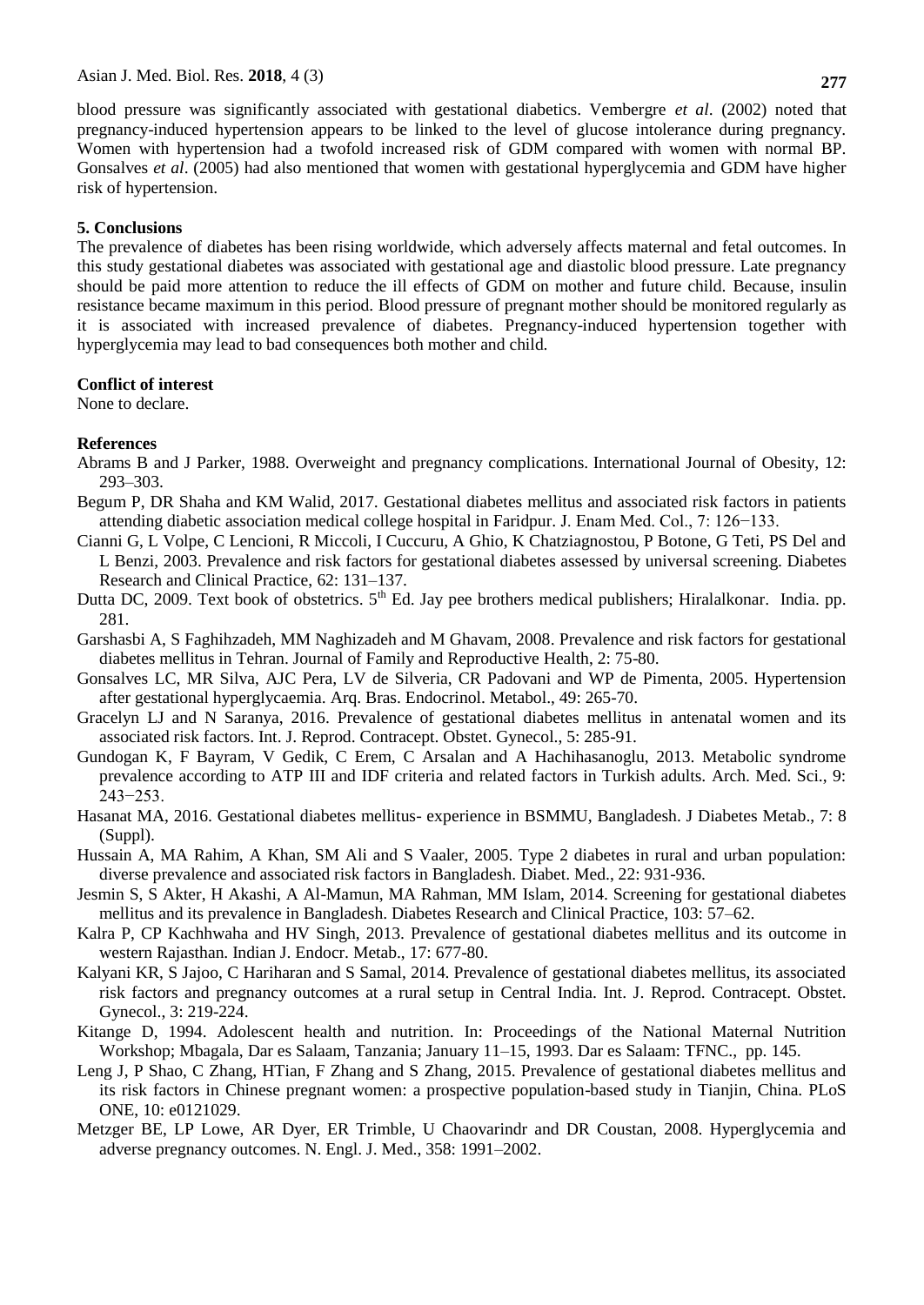blood pressure was significantly associated with gestational diabetics. Vembergre *et al*. (2002) noted that

pregnancy-induced hypertension appears to be linked to the level of glucose intolerance during pregnancy. Women with hypertension had a twofold increased risk of GDM compared with women with normal BP. Gonsalves *et al*. (2005) had also mentioned that women with gestational hyperglycemia and GDM have higher risk of hypertension.

## **5. Conclusions**

The prevalence of diabetes has been rising worldwide, which adversely affects maternal and fetal outcomes. In this study gestational diabetes was associated with gestational age and diastolic blood pressure. Late pregnancy should be paid more attention to reduce the ill effects of GDM on mother and future child. Because, insulin resistance became maximum in this period. Blood pressure of pregnant mother should be monitored regularly as it is associated with increased prevalence of diabetes. Pregnancy-induced hypertension together with hyperglycemia may lead to bad consequences both mother and child.

## **Conflict of interest**

None to declare.

## **References**

- Abrams B and J Parker, 1988. Overweight and pregnancy complications. International Journal of Obesity, 12: 293–303.
- Begum P, DR Shaha and KM Walid, 2017. Gestational diabetes mellitus and associated risk factors in patients attending diabetic association medical college hospital in Faridpur. J. Enam Med. Col., 7: 126−133.
- Cianni G, L Volpe, C Lencioni, R Miccoli, I Cuccuru, A Ghio, K Chatziagnostou, P Botone, G Teti, PS Del and L Benzi, 2003. Prevalence and risk factors for gestational diabetes assessed by universal screening. Diabetes Research and Clinical Practice, 62: 131–137.
- Dutta DC, 2009. Text book of obstetrics.  $5<sup>th</sup>$  Ed. Jay pee brothers medical publishers; Hiralalkonar. India. pp. 281.
- Garshasbi A, S Faghihzadeh, MM Naghizadeh and M Ghavam, 2008. Prevalence and risk factors for gestational diabetes mellitus in Tehran. Journal of Family and Reproductive Health, 2: 75-80.
- Gonsalves LC, MR Silva, AJC Pera, LV de Silveria, CR Padovani and WP de Pimenta, 2005. Hypertension after gestational hyperglycaemia. Arq. Bras. Endocrinol. Metabol., 49: 265-70.
- Gracelyn LJ and N Saranya, 2016. Prevalence of gestational diabetes mellitus in antenatal women and its associated risk factors. Int. J. Reprod. Contracept. Obstet. Gynecol., 5: 285-91.
- Gundogan K, F Bayram, V Gedik, C Erem, C Arsalan and A Hachihasanoglu, 2013. Metabolic syndrome prevalence according to ATP III and IDF criteria and related factors in Turkish adults. Arch. Med. Sci., 9: 243−253.
- Hasanat MA, 2016. Gestational diabetes mellitus- experience in BSMMU, Bangladesh. J Diabetes Metab., 7: 8 (Suppl).
- Hussain A, MA Rahim, A Khan, SM Ali and S Vaaler, 2005. Type 2 diabetes in rural and urban population: diverse prevalence and associated risk factors in Bangladesh. Diabet. Med., 22: 931-936.
- Jesmin S, S Akter, H Akashi, A Al-Mamun, MA Rahman, MM Islam, 2014. Screening for gestational diabetes mellitus and its prevalence in Bangladesh. Diabetes Research and Clinical Practice, 103: 57–62.
- Kalra P, CP Kachhwaha and HV Singh, 2013. Prevalence of gestational diabetes mellitus and its outcome in western Rajasthan. Indian J. Endocr. Metab., 17: 677-80.
- Kalyani KR, S Jajoo, C Hariharan and S Samal, 2014. Prevalence of gestational diabetes mellitus, its associated risk factors and pregnancy outcomes at a rural setup in Central India. Int. J. Reprod. Contracept. Obstet. Gynecol., 3: 219-224.
- Kitange D, 1994. Adolescent health and nutrition. In: Proceedings of the National Maternal Nutrition Workshop; Mbagala, Dar es Salaam, Tanzania; January 11–15, 1993. Dar es Salaam: TFNC., pp. 145.
- Leng J, P Shao, C Zhang, HTian, F Zhang and S Zhang, 2015. Prevalence of gestational diabetes mellitus and its risk factors in Chinese pregnant women: a prospective population-based study in Tianjin, China. PLoS ONE, 10: e0121029.
- Metzger BE, LP Lowe, AR Dyer, ER Trimble, U Chaovarindr and DR Coustan, 2008. Hyperglycemia and adverse pregnancy outcomes. N. Engl. J. Med., 358: 1991–2002.